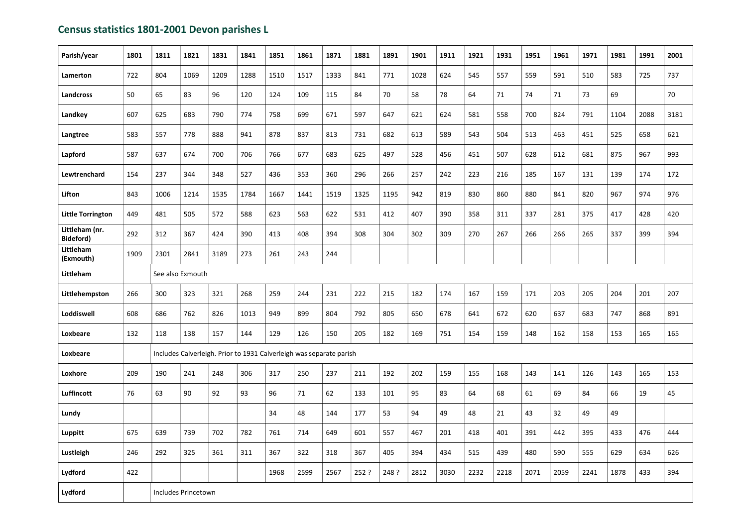## Census statistics 1801-2001 Devon parishes L

| Parish/year                 | 1801 | 1811                                                                | 1821                | 1831 | 1841 | 1851 | 1861 | 1871 | 1881  | 1891  | 1901 | 1911 | 1921 | 1931 | 1951 | 1961 | 1971 | 1981 | 1991 | 2001 |
|-----------------------------|------|---------------------------------------------------------------------|---------------------|------|------|------|------|------|-------|-------|------|------|------|------|------|------|------|------|------|------|
| Lamerton                    | 722  | 804                                                                 | 1069                | 1209 | 1288 | 1510 | 1517 | 1333 | 841   | 771   | 1028 | 624  | 545  | 557  | 559  | 591  | 510  | 583  | 725  | 737  |
| <b>Landcross</b>            | 50   | 65                                                                  | 83                  | 96   | 120  | 124  | 109  | 115  | 84    | 70    | 58   | 78   | 64   | 71   | 74   | 71   | 73   | 69   |      | 70   |
| Landkey                     | 607  | 625                                                                 | 683                 | 790  | 774  | 758  | 699  | 671  | 597   | 647   | 621  | 624  | 581  | 558  | 700  | 824  | 791  | 1104 | 2088 | 3181 |
| Langtree                    | 583  | 557                                                                 | 778                 | 888  | 941  | 878  | 837  | 813  | 731   | 682   | 613  | 589  | 543  | 504  | 513  | 463  | 451  | 525  | 658  | 621  |
| Lapford                     | 587  | 637                                                                 | 674                 | 700  | 706  | 766  | 677  | 683  | 625   | 497   | 528  | 456  | 451  | 507  | 628  | 612  | 681  | 875  | 967  | 993  |
| Lewtrenchard                | 154  | 237                                                                 | 344                 | 348  | 527  | 436  | 353  | 360  | 296   | 266   | 257  | 242  | 223  | 216  | 185  | 167  | 131  | 139  | 174  | 172  |
| Lifton                      | 843  | 1006                                                                | 1214                | 1535 | 1784 | 1667 | 1441 | 1519 | 1325  | 1195  | 942  | 819  | 830  | 860  | 880  | 841  | 820  | 967  | 974  | 976  |
| <b>Little Torrington</b>    | 449  | 481                                                                 | 505                 | 572  | 588  | 623  | 563  | 622  | 531   | 412   | 407  | 390  | 358  | 311  | 337  | 281  | 375  | 417  | 428  | 420  |
| Littleham (nr.<br>Bideford) | 292  | 312                                                                 | 367                 | 424  | 390  | 413  | 408  | 394  | 308   | 304   | 302  | 309  | 270  | 267  | 266  | 266  | 265  | 337  | 399  | 394  |
| Littleham<br>(Exmouth)      | 1909 | 2301                                                                | 2841                | 3189 | 273  | 261  | 243  | 244  |       |       |      |      |      |      |      |      |      |      |      |      |
| Littleham                   |      | See also Exmouth                                                    |                     |      |      |      |      |      |       |       |      |      |      |      |      |      |      |      |      |      |
| Littlehempston              | 266  | 300                                                                 | 323                 | 321  | 268  | 259  | 244  | 231  | 222   | 215   | 182  | 174  | 167  | 159  | 171  | 203  | 205  | 204  | 201  | 207  |
| Loddiswell                  | 608  | 686                                                                 | 762                 | 826  | 1013 | 949  | 899  | 804  | 792   | 805   | 650  | 678  | 641  | 672  | 620  | 637  | 683  | 747  | 868  | 891  |
| Loxbeare                    | 132  | 118                                                                 | 138                 | 157  | 144  | 129  | 126  | 150  | 205   | 182   | 169  | 751  | 154  | 159  | 148  | 162  | 158  | 153  | 165  | 165  |
| Loxbeare                    |      | Includes Calverleigh. Prior to 1931 Calverleigh was separate parish |                     |      |      |      |      |      |       |       |      |      |      |      |      |      |      |      |      |      |
| Loxhore                     | 209  | 190                                                                 | 241                 | 248  | 306  | 317  | 250  | 237  | 211   | 192   | 202  | 159  | 155  | 168  | 143  | 141  | 126  | 143  | 165  | 153  |
| Luffincott                  | 76   | 63                                                                  | 90                  | 92   | 93   | 96   | 71   | 62   | 133   | 101   | 95   | 83   | 64   | 68   | 61   | 69   | 84   | 66   | 19   | 45   |
| Lundy                       |      |                                                                     |                     |      |      | 34   | 48   | 144  | 177   | 53    | 94   | 49   | 48   | 21   | 43   | 32   | 49   | 49   |      |      |
| <b>Luppitt</b>              | 675  | 639                                                                 | 739                 | 702  | 782  | 761  | 714  | 649  | 601   | 557   | 467  | 201  | 418  | 401  | 391  | 442  | 395  | 433  | 476  | 444  |
| Lustleigh                   | 246  | 292                                                                 | 325                 | 361  | 311  | 367  | 322  | 318  | 367   | 405   | 394  | 434  | 515  | 439  | 480  | 590  | 555  | 629  | 634  | 626  |
| <b>Lydford</b>              | 422  |                                                                     |                     |      |      | 1968 | 2599 | 2567 | 252 ? | 248 ? | 2812 | 3030 | 2232 | 2218 | 2071 | 2059 | 2241 | 1878 | 433  | 394  |
| Lydford                     |      |                                                                     | Includes Princetown |      |      |      |      |      |       |       |      |      |      |      |      |      |      |      |      |      |